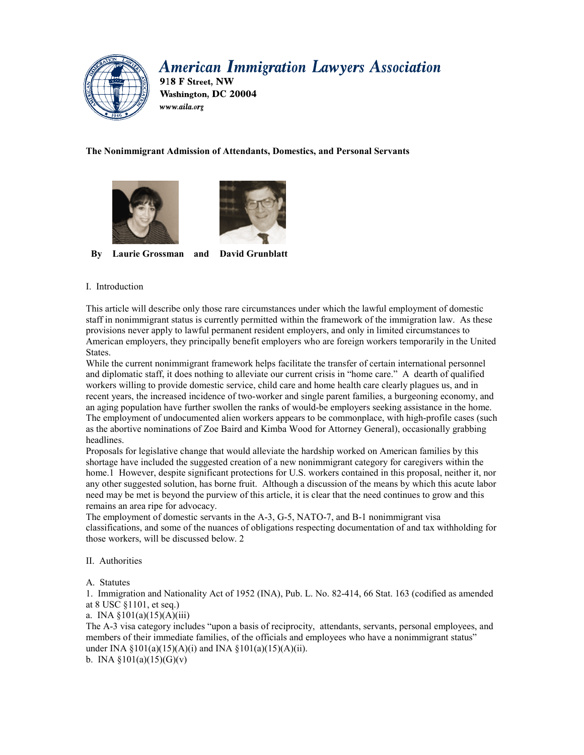# **American Immigration Lawyers Association**



918 F Street. NW Washington, DC 20004 www.aila.org

# **The Nonimmigrant Admission of Attendants, Domestics, and Personal Servants**





**By Laurie Grossman and David Grunblatt** 

## I. Introduction

This article will describe only those rare circumstances under which the lawful employment of domestic staff in nonimmigrant status is currently permitted within the framework of the immigration law. As these provisions never apply to lawful permanent resident employers, and only in limited circumstances to American employers, they principally benefit employers who are foreign workers temporarily in the United States.

While the current nonimmigrant framework helps facilitate the transfer of certain international personnel and diplomatic staff, it does nothing to alleviate our current crisis in "home care." A dearth of qualified workers willing to provide domestic service, child care and home health care clearly plagues us, and in recent years, the increased incidence of two-worker and single parent families, a burgeoning economy, and an aging population have further swollen the ranks of would-be employers seeking assistance in the home. The employment of undocumented alien workers appears to be commonplace, with high-profile cases (such as the abortive nominations of Zoe Baird and Kimba Wood for Attorney General), occasionally grabbing headlines.

Proposals for legislative change that would alleviate the hardship worked on American families by this shortage have included the suggested creation of a new nonimmigrant category for caregivers within the home.1 However, despite significant protections for U.S. workers contained in this proposal, neither it, nor any other suggested solution, has borne fruit. Although a discussion of the means by which this acute labor need may be met is beyond the purview of this article, it is clear that the need continues to grow and this remains an area ripe for advocacy.

The employment of domestic servants in the A-3, G-5, NATO-7, and B-1 nonimmigrant visa classifications, and some of the nuances of obligations respecting documentation of and tax withholding for those workers, will be discussed below. 2

## II. Authorities

A. Statutes

1. Immigration and Nationality Act of 1952 (INA), Pub. L. No. 82-414, 66 Stat. 163 (codified as amended at 8 USC §1101, et seq.)

a. INA  $$101(a)(15)(A)(iii)$ 

The A-3 visa category includes "upon a basis of reciprocity, attendants, servants, personal employees, and members of their immediate families, of the officials and employees who have a nonimmigrant status" under INA  $\S 101(a)(15)(A)(i)$  and INA  $\S 101(a)(15)(A)(ii)$ .

b. INA  $\S 101(a)(15)(G)(v)$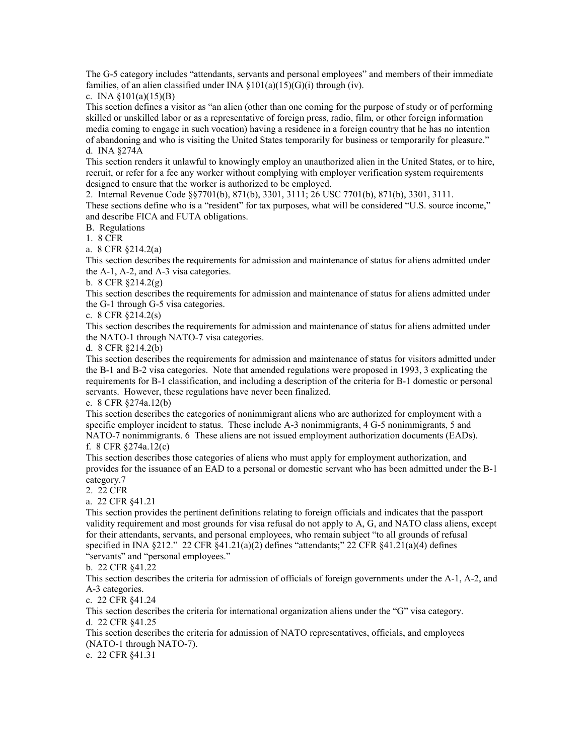The G-5 category includes "attendants, servants and personal employees" and members of their immediate families, of an alien classified under INA  $\S 101(a)(15)(G)(i)$  through (iv).

c. INA  $$101(a)(15)(B)$ 

This section defines a visitor as "an alien (other than one coming for the purpose of study or of performing skilled or unskilled labor or as a representative of foreign press, radio, film, or other foreign information media coming to engage in such vocation) having a residence in a foreign country that he has no intention of abandoning and who is visiting the United States temporarily for business or temporarily for pleasure." d. INA §274A

This section renders it unlawful to knowingly employ an unauthorized alien in the United States, or to hire, recruit, or refer for a fee any worker without complying with employer verification system requirements designed to ensure that the worker is authorized to be employed.

2. Internal Revenue Code §§7701(b), 871(b), 3301, 3111; 26 USC 7701(b), 871(b), 3301, 3111. These sections define who is a "resident" for tax purposes, what will be considered "U.S. source income," and describe FICA and FUTA obligations.

B. Regulations

1. 8 CFR

a. 8 CFR §214.2(a)

This section describes the requirements for admission and maintenance of status for aliens admitted under the A-1, A-2, and A-3 visa categories.

b. 8 CFR §214.2(g)

This section describes the requirements for admission and maintenance of status for aliens admitted under the G-1 through G-5 visa categories.

c. 8 CFR §214.2(s)

This section describes the requirements for admission and maintenance of status for aliens admitted under the NATO-1 through NATO-7 visa categories.

d. 8 CFR §214.2(b)

This section describes the requirements for admission and maintenance of status for visitors admitted under the B-1 and B-2 visa categories. Note that amended regulations were proposed in 1993, 3 explicating the requirements for B-1 classification, and including a description of the criteria for B-1 domestic or personal servants. However, these regulations have never been finalized.

e. 8 CFR §274a.12(b)

This section describes the categories of nonimmigrant aliens who are authorized for employment with a specific employer incident to status. These include A-3 nonimmigrants, 4 G-5 nonimmigrants, 5 and NATO-7 nonimmigrants. 6 These aliens are not issued employment authorization documents (EADs). f. 8 CFR §274a.12(c)

This section describes those categories of aliens who must apply for employment authorization, and provides for the issuance of an EAD to a personal or domestic servant who has been admitted under the B-1 category.7

2. 22 CFR

a. 22 CFR §41.21

This section provides the pertinent definitions relating to foreign officials and indicates that the passport validity requirement and most grounds for visa refusal do not apply to A, G, and NATO class aliens, except for their attendants, servants, and personal employees, who remain subject "to all grounds of refusal specified in INA §212." 22 CFR §41.21(a)(2) defines "attendants;" 22 CFR §41.21(a)(4) defines "servants" and "personal employees."

#### b. 22 CFR §41.22

This section describes the criteria for admission of officials of foreign governments under the A-1, A-2, and A-3 categories.

c. 22 CFR §41.24

This section describes the criteria for international organization aliens under the "G" visa category. d. 22 CFR §41.25

This section describes the criteria for admission of NATO representatives, officials, and employees (NATO-1 through NATO-7).

e. 22 CFR §41.31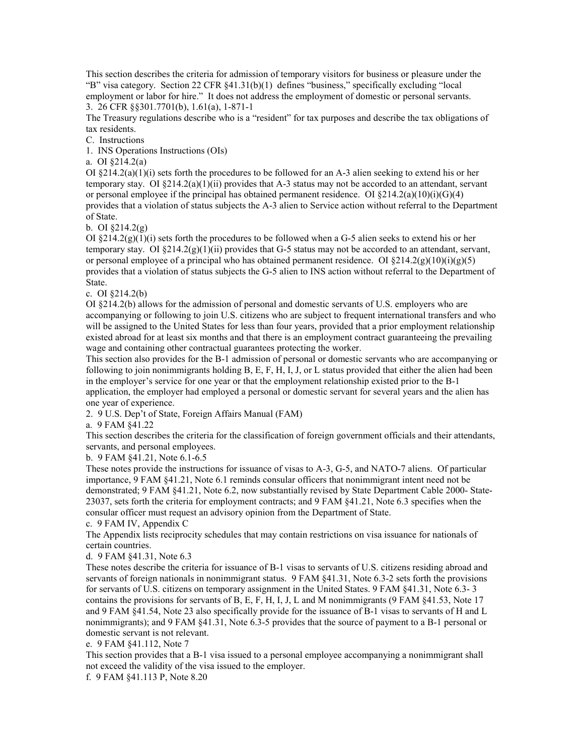This section describes the criteria for admission of temporary visitors for business or pleasure under the "B" visa category. Section 22 CFR §41.31(b)(1) defines "business," specifically excluding "local employment or labor for hire." It does not address the employment of domestic or personal servants. 3. 26 CFR §§301.7701(b), 1.61(a), 1-871-1

The Treasury regulations describe who is a "resident" for tax purposes and describe the tax obligations of tax residents.

C. Instructions

1. INS Operations Instructions (OIs)

a. OI §214.2(a)

OI  $\S214.2(a)(1)(i)$  sets forth the procedures to be followed for an A-3 alien seeking to extend his or her temporary stay. OI  $\S214.2(a)(1)(ii)$  provides that A-3 status may not be accorded to an attendant, servant or personal employee if the principal has obtained permanent residence. OI  $\S214.2(a)(10)(i)(G)(4)$ provides that a violation of status subjects the A-3 alien to Service action without referral to the Department of State.

b. OI §214.2(g)

OI  $\S214.2(g)(1)(i)$  sets forth the procedures to be followed when a G-5 alien seeks to extend his or her temporary stay. OI  $\S 214.2(g)(1)(ii)$  provides that G-5 status may not be accorded to an attendant, servant, or personal employee of a principal who has obtained permanent residence. OI  $\S 214.2(g)(10)(i)(g)(5)$ provides that a violation of status subjects the G-5 alien to INS action without referral to the Department of State.

c. OI §214.2(b)

OI §214.2(b) allows for the admission of personal and domestic servants of U.S. employers who are accompanying or following to join U.S. citizens who are subject to frequent international transfers and who will be assigned to the United States for less than four years, provided that a prior employment relationship existed abroad for at least six months and that there is an employment contract guaranteeing the prevailing wage and containing other contractual guarantees protecting the worker.

This section also provides for the B-1 admission of personal or domestic servants who are accompanying or following to join nonimmigrants holding B, E, F, H, I, J, or L status provided that either the alien had been in the employer's service for one year or that the employment relationship existed prior to the B-1 application, the employer had employed a personal or domestic servant for several years and the alien has one year of experience.

2. 9 U.S. Dep't of State, Foreign Affairs Manual (FAM)

a. 9 FAM §41.22

This section describes the criteria for the classification of foreign government officials and their attendants, servants, and personal employees.

b. 9 FAM §41.21, Note 6.1-6.5

These notes provide the instructions for issuance of visas to A-3, G-5, and NATO-7 aliens. Of particular importance, 9 FAM §41.21, Note 6.1 reminds consular officers that nonimmigrant intent need not be demonstrated; 9 FAM §41.21, Note 6.2, now substantially revised by State Department Cable 2000- State-23037, sets forth the criteria for employment contracts; and 9 FAM §41.21, Note 6.3 specifies when the consular officer must request an advisory opinion from the Department of State.

c. 9 FAM IV, Appendix C

The Appendix lists reciprocity schedules that may contain restrictions on visa issuance for nationals of certain countries.

#### d. 9 FAM §41.31, Note 6.3

These notes describe the criteria for issuance of B-1 visas to servants of U.S. citizens residing abroad and servants of foreign nationals in nonimmigrant status. 9 FAM §41.31, Note 6.3-2 sets forth the provisions for servants of U.S. citizens on temporary assignment in the United States. 9 FAM §41.31, Note 6.3- 3 contains the provisions for servants of B, E, F, H, I, J, L and M nonimmigrants (9 FAM §41.53, Note 17 and 9 FAM §41.54, Note 23 also specifically provide for the issuance of B-1 visas to servants of H and L nonimmigrants); and 9 FAM §41.31, Note 6.3-5 provides that the source of payment to a B-1 personal or domestic servant is not relevant.

e. 9 FAM §41.112, Note 7

This section provides that a B-1 visa issued to a personal employee accompanying a nonimmigrant shall not exceed the validity of the visa issued to the employer.

f. 9 FAM §41.113 P, Note 8.20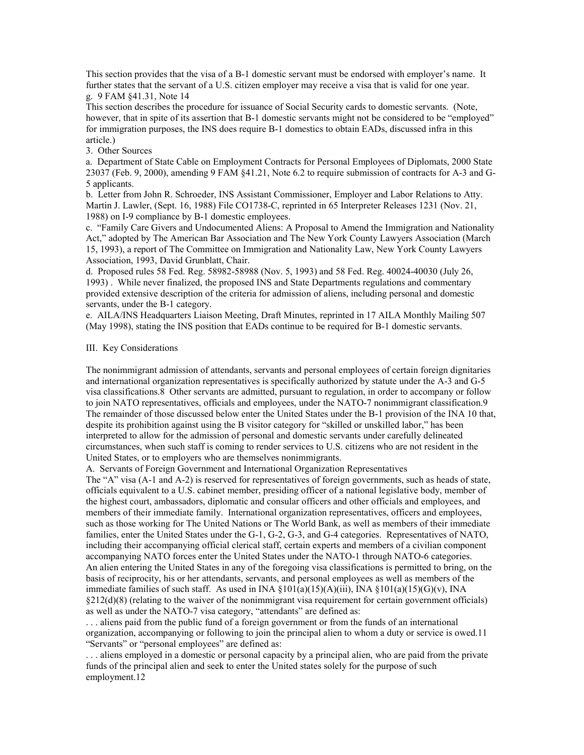This section provides that the visa of a B-1 domestic servant must be endorsed with employer's name. It further states that the servant of a U.S. citizen employer may receive a visa that is valid for one year. g. 9 FAM §41.31, Note 14

This section describes the procedure for issuance of Social Security cards to domestic servants. (Note, however, that in spite of its assertion that B-1 domestic servants might not be considered to be "employed" for immigration purposes, the INS does require B-1 domestics to obtain EADs, discussed infra in this article.)

3. Other Sources

a. Department of State Cable on Employment Contracts for Personal Employees of Diplomats, 2000 State 23037 (Feb. 9, 2000), amending 9 FAM §41.21, Note 6.2 to require submission of contracts for A-3 and G-5 applicants.

b. Letter from John R. Schroeder, INS Assistant Commissioner, Employer and Labor Relations to Atty. Martin J. Lawler, (Sept. 16, 1988) File CO1738-C, reprinted in 65 Interpreter Releases 1231 (Nov. 21, 1988) on I-9 compliance by B-1 domestic employees.

c. "Family Care Givers and Undocumented Aliens: A Proposal to Amend the Immigration and Nationality Act," adopted by The American Bar Association and The New York County Lawyers Association (March 15, 1993), a report of The Committee on Immigration and Nationality Law, New York County Lawyers Association, 1993, David Grunblatt, Chair.

d. Proposed rules 58 Fed. Reg. 58982-58988 (Nov. 5, 1993) and 58 Fed. Reg. 40024-40030 (July 26, 1993) . While never finalized, the proposed INS and State Departments regulations and commentary provided extensive description of the criteria for admission of aliens, including personal and domestic servants, under the B-1 category.

e. AILA/INS Headquarters Liaison Meeting, Draft Minutes, reprinted in 17 AILA Monthly Mailing 507 (May 1998), stating the INS position that EADs continue to be required for B-1 domestic servants.

#### III. Key Considerations

The nonimmigrant admission of attendants, servants and personal employees of certain foreign dignitaries and international organization representatives is specifically authorized by statute under the A-3 and G-5 visa classifications.8 Other servants are admitted, pursuant to regulation, in order to accompany or follow to join NATO representatives, officials and employees, under the NATO-7 nonimmigrant classification.9 The remainder of those discussed below enter the United States under the B-1 provision of the INA 10 that, despite its prohibition against using the B visitor category for "skilled or unskilled labor," has been interpreted to allow for the admission of personal and domestic servants under carefully delineated circumstances, when such staff is coming to render services to U.S. citizens who are not resident in the United States, or to employers who are themselves nonimmigrants.

A. Servants of Foreign Government and International Organization Representatives

The "A" visa (A-1 and A-2) is reserved for representatives of foreign governments, such as heads of state, officials equivalent to a U.S. cabinet member, presiding officer of a national legislative body, member of the highest court, ambassadors, diplomatic and consular officers and other officials and employees, and members of their immediate family. International organization representatives, officers and employees, such as those working for The United Nations or The World Bank, as well as members of their immediate families, enter the United States under the G-1, G-2, G-3, and G-4 categories. Representatives of NATO, including their accompanying official clerical staff, certain experts and members of a civilian component accompanying NATO forces enter the United States under the NATO-1 through NATO-6 categories. An alien entering the United States in any of the foregoing visa classifications is permitted to bring, on the basis of reciprocity, his or her attendants, servants, and personal employees as well as members of the immediate families of such staff. As used in INA  $\S 101(a)(15)(A)(iii)$ , INA  $\S 101(a)(15)(G)(v)$ , INA  $§212(d)(8)$  (relating to the waiver of the nonimmigrant visa requirement for certain government officials) as well as under the NATO-7 visa category, "attendants" are defined as:

. . . aliens paid from the public fund of a foreign government or from the funds of an international organization, accompanying or following to join the principal alien to whom a duty or service is owed.11 "Servants" or "personal employees" are defined as:

. . . aliens employed in a domestic or personal capacity by a principal alien, who are paid from the private funds of the principal alien and seek to enter the United states solely for the purpose of such employment.12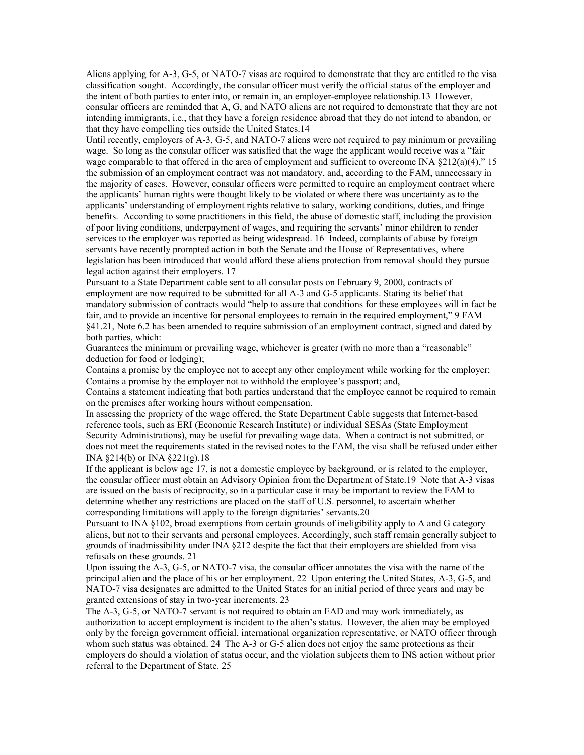Aliens applying for A-3, G-5, or NATO-7 visas are required to demonstrate that they are entitled to the visa classification sought. Accordingly, the consular officer must verify the official status of the employer and the intent of both parties to enter into, or remain in, an employer-employee relationship.13 However, consular officers are reminded that A, G, and NATO aliens are not required to demonstrate that they are not intending immigrants, i.e., that they have a foreign residence abroad that they do not intend to abandon, or that they have compelling ties outside the United States.14

Until recently, employers of A-3, G-5, and NATO-7 aliens were not required to pay minimum or prevailing wage. So long as the consular officer was satisfied that the wage the applicant would receive was a "fair wage comparable to that offered in the area of employment and sufficient to overcome INA  $\S212(a)(4)$ ," 15 the submission of an employment contract was not mandatory, and, according to the FAM, unnecessary in the majority of cases. However, consular officers were permitted to require an employment contract where the applicants' human rights were thought likely to be violated or where there was uncertainty as to the applicants' understanding of employment rights relative to salary, working conditions, duties, and fringe benefits. According to some practitioners in this field, the abuse of domestic staff, including the provision of poor living conditions, underpayment of wages, and requiring the servants' minor children to render services to the employer was reported as being widespread. 16 Indeed, complaints of abuse by foreign servants have recently prompted action in both the Senate and the House of Representatives, where legislation has been introduced that would afford these aliens protection from removal should they pursue legal action against their employers. 17

Pursuant to a State Department cable sent to all consular posts on February 9, 2000, contracts of employment are now required to be submitted for all A-3 and G-5 applicants. Stating its belief that mandatory submission of contracts would "help to assure that conditions for these employees will in fact be fair, and to provide an incentive for personal employees to remain in the required employment," 9 FAM §41.21, Note 6.2 has been amended to require submission of an employment contract, signed and dated by both parties, which:

Guarantees the minimum or prevailing wage, whichever is greater (with no more than a "reasonable" deduction for food or lodging);

Contains a promise by the employee not to accept any other employment while working for the employer; Contains a promise by the employer not to withhold the employee's passport; and,

Contains a statement indicating that both parties understand that the employee cannot be required to remain on the premises after working hours without compensation.

In assessing the propriety of the wage offered, the State Department Cable suggests that Internet-based reference tools, such as ERI (Economic Research Institute) or individual SESAs (State Employment Security Administrations), may be useful for prevailing wage data. When a contract is not submitted, or does not meet the requirements stated in the revised notes to the FAM, the visa shall be refused under either INA §214(b) or INA §221(g).18

If the applicant is below age 17, is not a domestic employee by background, or is related to the employer, the consular officer must obtain an Advisory Opinion from the Department of State.19 Note that A-3 visas are issued on the basis of reciprocity, so in a particular case it may be important to review the FAM to determine whether any restrictions are placed on the staff of U.S. personnel, to ascertain whether corresponding limitations will apply to the foreign dignitaries' servants.20

Pursuant to INA §102, broad exemptions from certain grounds of ineligibility apply to A and G category aliens, but not to their servants and personal employees. Accordingly, such staff remain generally subject to grounds of inadmissibility under INA §212 despite the fact that their employers are shielded from visa refusals on these grounds. 21

Upon issuing the A-3, G-5, or NATO-7 visa, the consular officer annotates the visa with the name of the principal alien and the place of his or her employment. 22 Upon entering the United States, A-3, G-5, and NATO-7 visa designates are admitted to the United States for an initial period of three years and may be granted extensions of stay in two-year increments. 23

The A-3, G-5, or NATO-7 servant is not required to obtain an EAD and may work immediately, as authorization to accept employment is incident to the alien's status. However, the alien may be employed only by the foreign government official, international organization representative, or NATO officer through whom such status was obtained. 24 The A-3 or G-5 alien does not enjoy the same protections as their employers do should a violation of status occur, and the violation subjects them to INS action without prior referral to the Department of State. 25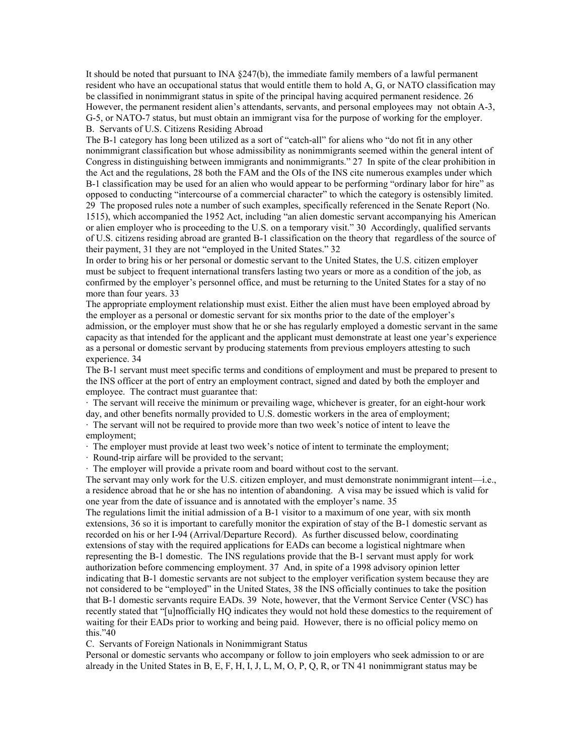It should be noted that pursuant to INA §247(b), the immediate family members of a lawful permanent resident who have an occupational status that would entitle them to hold A, G, or NATO classification may be classified in nonimmigrant status in spite of the principal having acquired permanent residence. 26 However, the permanent resident alien's attendants, servants, and personal employees may not obtain A-3, G-5, or NATO-7 status, but must obtain an immigrant visa for the purpose of working for the employer. B. Servants of U.S. Citizens Residing Abroad

The B-1 category has long been utilized as a sort of "catch-all" for aliens who "do not fit in any other nonimmigrant classification but whose admissibility as nonimmigrants seemed within the general intent of Congress in distinguishing between immigrants and nonimmigrants." 27 In spite of the clear prohibition in the Act and the regulations, 28 both the FAM and the OIs of the INS cite numerous examples under which B-1 classification may be used for an alien who would appear to be performing "ordinary labor for hire" as opposed to conducting "intercourse of a commercial character" to which the category is ostensibly limited. 29 The proposed rules note a number of such examples, specifically referenced in the Senate Report (No. 1515), which accompanied the 1952 Act, including "an alien domestic servant accompanying his American or alien employer who is proceeding to the U.S. on a temporary visit." 30 Accordingly, qualified servants of U.S. citizens residing abroad are granted B-1 classification on the theory that regardless of the source of their payment, 31 they are not "employed in the United States." 32

In order to bring his or her personal or domestic servant to the United States, the U.S. citizen employer must be subject to frequent international transfers lasting two years or more as a condition of the job, as confirmed by the employer's personnel office, and must be returning to the United States for a stay of no more than four years. 33

The appropriate employment relationship must exist. Either the alien must have been employed abroad by the employer as a personal or domestic servant for six months prior to the date of the employer's admission, or the employer must show that he or she has regularly employed a domestic servant in the same capacity as that intended for the applicant and the applicant must demonstrate at least one year's experience as a personal or domestic servant by producing statements from previous employers attesting to such experience. 34

The B-1 servant must meet specific terms and conditions of employment and must be prepared to present to the INS officer at the port of entry an employment contract, signed and dated by both the employer and employee. The contract must guarantee that:

· The servant will receive the minimum or prevailing wage, whichever is greater, for an eight-hour work day, and other benefits normally provided to U.S. domestic workers in the area of employment;

· The servant will not be required to provide more than two week's notice of intent to leave the employment;

· The employer must provide at least two week's notice of intent to terminate the employment;

· Round-trip airfare will be provided to the servant;

· The employer will provide a private room and board without cost to the servant.

The servant may only work for the U.S. citizen employer, and must demonstrate nonimmigrant intent—i.e., a residence abroad that he or she has no intention of abandoning. A visa may be issued which is valid for one year from the date of issuance and is annotated with the employer's name. 35

The regulations limit the initial admission of a B-1 visitor to a maximum of one year, with six month extensions, 36 so it is important to carefully monitor the expiration of stay of the B-1 domestic servant as recorded on his or her I-94 (Arrival/Departure Record). As further discussed below, coordinating extensions of stay with the required applications for EADs can become a logistical nightmare when representing the B-1 domestic. The INS regulations provide that the B-1 servant must apply for work authorization before commencing employment. 37 And, in spite of a 1998 advisory opinion letter indicating that B-1 domestic servants are not subject to the employer verification system because they are not considered to be "employed" in the United States, 38 the INS officially continues to take the position that B-1 domestic servants require EADs. 39 Note, however, that the Vermont Service Center (VSC) has recently stated that "[u]nofficially HQ indicates they would not hold these domestics to the requirement of waiting for their EADs prior to working and being paid. However, there is no official policy memo on this."40

C. Servants of Foreign Nationals in Nonimmigrant Status

Personal or domestic servants who accompany or follow to join employers who seek admission to or are already in the United States in B, E, F, H, I, J, L, M, O, P, Q, R, or TN 41 nonimmigrant status may be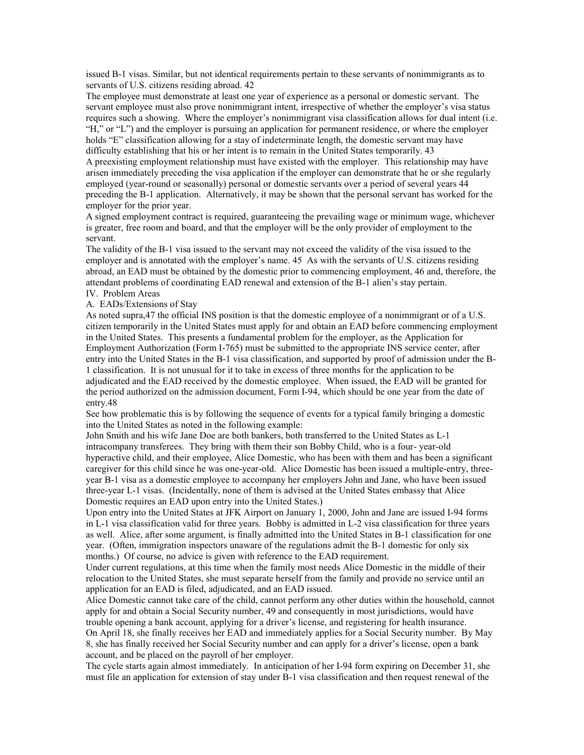issued B-1 visas. Similar, but not identical requirements pertain to these servants of nonimmigrants as to servants of U.S. citizens residing abroad. 42

The employee must demonstrate at least one year of experience as a personal or domestic servant. The servant employee must also prove nonimmigrant intent, irrespective of whether the employer's visa status requires such a showing. Where the employer's nonimmigrant visa classification allows for dual intent (i.e. "H," or "L") and the employer is pursuing an application for permanent residence, or where the employer holds "E" classification allowing for a stay of indeterminate length, the domestic servant may have difficulty establishing that his or her intent is to remain in the United States temporarily. 43

A preexisting employment relationship must have existed with the employer. This relationship may have arisen immediately preceding the visa application if the employer can demonstrate that he or she regularly employed (year-round or seasonally) personal or domestic servants over a period of several years 44 preceding the B-1 application. Alternatively, it may be shown that the personal servant has worked for the employer for the prior year.

A signed employment contract is required, guaranteeing the prevailing wage or minimum wage, whichever is greater, free room and board, and that the employer will be the only provider of employment to the servant.

The validity of the B-1 visa issued to the servant may not exceed the validity of the visa issued to the employer and is annotated with the employer's name. 45 As with the servants of U.S. citizens residing abroad, an EAD must be obtained by the domestic prior to commencing employment, 46 and, therefore, the attendant problems of coordinating EAD renewal and extension of the B-1 alien's stay pertain.

# IV. Problem Areas

A. EADs/Extensions of Stay

As noted supra,47 the official INS position is that the domestic employee of a nonimmigrant or of a U.S. citizen temporarily in the United States must apply for and obtain an EAD before commencing employment in the United States. This presents a fundamental problem for the employer, as the Application for Employment Authorization (Form I-765) must be submitted to the appropriate INS service center, after entry into the United States in the B-1 visa classification, and supported by proof of admission under the B-1 classification. It is not unusual for it to take in excess of three months for the application to be adjudicated and the EAD received by the domestic employee. When issued, the EAD will be granted for the period authorized on the admission document, Form I-94, which should be one year from the date of entry.48

See how problematic this is by following the sequence of events for a typical family bringing a domestic into the United States as noted in the following example:

John Smith and his wife Jane Doe are both bankers, both transferred to the United States as L-1 intracompany transferees. They bring with them their son Bobby Child, who is a four- year-old hyperactive child, and their employee, Alice Domestic, who has been with them and has been a significant caregiver for this child since he was one-year-old. Alice Domestic has been issued a multiple-entry, threeyear B-1 visa as a domestic employee to accompany her employers John and Jane, who have been issued three-year L-1 visas. (Incidentally, none of them is advised at the United States embassy that Alice Domestic requires an EAD upon entry into the United States.)

Upon entry into the United States at JFK Airport on January 1, 2000, John and Jane are issued I-94 forms in L-1 visa classification valid for three years. Bobby is admitted in L-2 visa classification for three years as well. Alice, after some argument, is finally admitted into the United States in B-1 classification for one year. (Often, immigration inspectors unaware of the regulations admit the B-1 domestic for only six months.) Of course, no advice is given with reference to the EAD requirement.

Under current regulations, at this time when the family most needs Alice Domestic in the middle of their relocation to the United States, she must separate herself from the family and provide no service until an application for an EAD is filed, adjudicated, and an EAD issued.

Alice Domestic cannot take care of the child, cannot perform any other duties within the household, cannot apply for and obtain a Social Security number, 49 and consequently in most jurisdictions, would have trouble opening a bank account, applying for a driver's license, and registering for health insurance.

On April 18, she finally receives her EAD and immediately applies for a Social Security number. By May 8, she has finally received her Social Security number and can apply for a driver's license, open a bank account, and be placed on the payroll of her employer.

The cycle starts again almost immediately. In anticipation of her I-94 form expiring on December 31, she must file an application for extension of stay under B-1 visa classification and then request renewal of the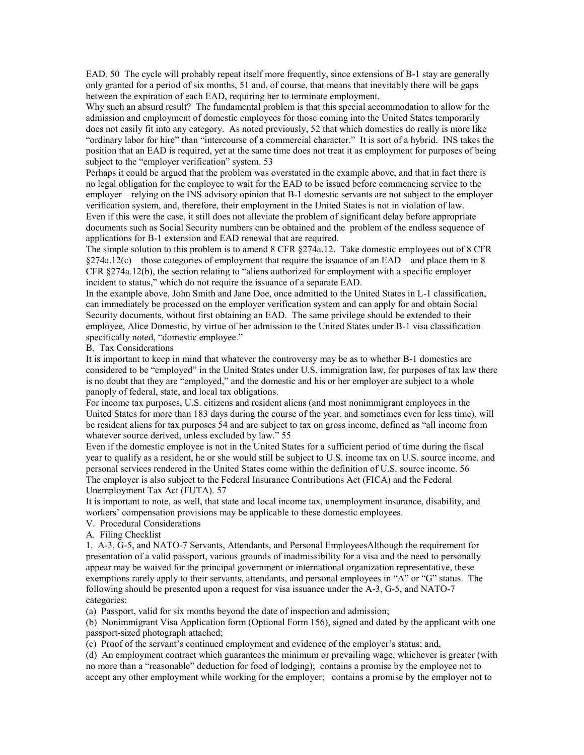EAD. 50 The cycle will probably repeat itself more frequently, since extensions of B-1 stay are generally only granted for a period of six months, 51 and, of course, that means that inevitably there will be gaps between the expiration of each EAD, requiring her to terminate employment.

Why such an absurd result? The fundamental problem is that this special accommodation to allow for the admission and employment of domestic employees for those coming into the United States temporarily does not easily fit into any category. As noted previously, 52 that which domestics do really is more like "ordinary labor for hire" than "intercourse of a commercial character." It is sort of a hybrid. INS takes the position that an EAD is required, yet at the same time does not treat it as employment for purposes of being subject to the "employer verification" system. 53

Perhaps it could be argued that the problem was overstated in the example above, and that in fact there is no legal obligation for the employee to wait for the EAD to be issued before commencing service to the employer—relying on the INS advisory opinion that B-1 domestic servants are not subject to the employer verification system, and, therefore, their employment in the United States is not in violation of law. Even if this were the case, it still does not alleviate the problem of significant delay before appropriate documents such as Social Security numbers can be obtained and the problem of the endless sequence of applications for B-1 extension and EAD renewal that are required.

The simple solution to this problem is to amend 8 CFR §274a.12. Take domestic employees out of 8 CFR §274a.12(c)—those categories of employment that require the issuance of an EAD—and place them in 8 CFR §274a.12(b), the section relating to "aliens authorized for employment with a specific employer incident to status," which do not require the issuance of a separate EAD.

In the example above, John Smith and Jane Doe, once admitted to the United States in L-1 classification, can immediately be processed on the employer verification system and can apply for and obtain Social Security documents, without first obtaining an EAD. The same privilege should be extended to their employee, Alice Domestic, by virtue of her admission to the United States under B-1 visa classification specifically noted, "domestic employee."

B. Tax Considerations

It is important to keep in mind that whatever the controversy may be as to whether B-1 domestics are considered to be "employed" in the United States under U.S. immigration law, for purposes of tax law there is no doubt that they are "employed," and the domestic and his or her employer are subject to a whole panoply of federal, state, and local tax obligations.

For income tax purposes, U.S. citizens and resident aliens (and most nonimmigrant employees in the United States for more than 183 days during the course of the year, and sometimes even for less time), will be resident aliens for tax purposes 54 and are subject to tax on gross income, defined as "all income from whatever source derived, unless excluded by law." 55

Even if the domestic employee is not in the United States for a sufficient period of time during the fiscal year to qualify as a resident, he or she would still be subject to U.S. income tax on U.S. source income, and personal services rendered in the United States come within the definition of U.S. source income. 56 The employer is also subject to the Federal Insurance Contributions Act (FICA) and the Federal Unemployment Tax Act (FUTA). 57

It is important to note, as well, that state and local income tax, unemployment insurance, disability, and workers' compensation provisions may be applicable to these domestic employees.

V. Procedural Considerations

A. Filing Checklist

1. A-3, G-5, and NATO-7 Servants, Attendants, and Personal EmployeesAlthough the requirement for presentation of a valid passport, various grounds of inadmissibility for a visa and the need to personally appear may be waived for the principal government or international organization representative, these exemptions rarely apply to their servants, attendants, and personal employees in "A" or "G" status. The following should be presented upon a request for visa issuance under the A-3, G-5, and NATO-7 categories:

(a) Passport, valid for six months beyond the date of inspection and admission;

(b) Nonimmigrant Visa Application form (Optional Form 156), signed and dated by the applicant with one passport-sized photograph attached;

(c) Proof of the servant's continued employment and evidence of the employer's status; and,

(d) An employment contract which guarantees the minimum or prevailing wage, whichever is greater (with no more than a "reasonable" deduction for food of lodging); contains a promise by the employee not to accept any other employment while working for the employer; contains a promise by the employer not to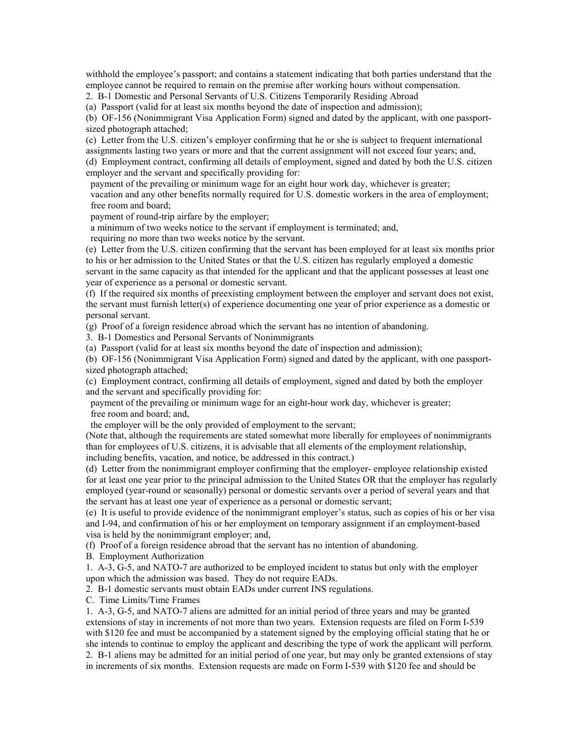withhold the employee's passport; and contains a statement indicating that both parties understand that the employee cannot be required to remain on the premise after working hours without compensation.

2. B-1 Domestic and Personal Servants of U.S. Citizens Temporarily Residing Abroad

(a) Passport (valid for at least six months beyond the date of inspection and admission);

(b) OF-156 (Nonimmigrant Visa Application Form) signed and dated by the applicant, with one passportsized photograph attached;

(c) Letter from the U.S. citizen's employer confirming that he or she is subject to frequent international

assignments lasting two years or more and that the current assignment will not exceed four years; and,

(d) Employment contract, confirming all details of employment, signed and dated by both the U.S. citizen employer and the servant and specifically providing for:

 payment of the prevailing or minimum wage for an eight hour work day, whichever is greater; vacation and any other benefits normally required for U.S. domestic workers in the area of employment; free room and board;

payment of round-trip airfare by the employer;

a minimum of two weeks notice to the servant if employment is terminated; and,

requiring no more than two weeks notice by the servant.

(e) Letter from the U.S. citizen confirming that the servant has been employed for at least six months prior to his or her admission to the United States or that the U.S. citizen has regularly employed a domestic servant in the same capacity as that intended for the applicant and that the applicant possesses at least one year of experience as a personal or domestic servant.

(f) If the required six months of preexisting employment between the employer and servant does not exist, the servant must furnish letter(s) of experience documenting one year of prior experience as a domestic or personal servant.

(g) Proof of a foreign residence abroad which the servant has no intention of abandoning.

3. B-1 Domestics and Personal Servants of Nonimmigrants

(a) Passport (valid for at least six months beyond the date of inspection and admission);

(b) OF-156 (Nonimmigrant Visa Application Form) signed and dated by the applicant, with one passportsized photograph attached;

(c) Employment contract, confirming all details of employment, signed and dated by both the employer and the servant and specifically providing for:

 payment of the prevailing or minimum wage for an eight-hour work day, whichever is greater; free room and board; and,

the employer will be the only provided of employment to the servant;

(Note that, although the requirements are stated somewhat more liberally for employees of nonimmigrants than for employees of U.S. citizens, it is advisable that all elements of the employment relationship, including benefits, vacation, and notice, be addressed in this contract.)

(d) Letter from the nonimmigrant employer confirming that the employer- employee relationship existed for at least one year prior to the principal admission to the United States OR that the employer has regularly employed (year-round or seasonally) personal or domestic servants over a period of several years and that the servant has at least one year of experience as a personal or domestic servant;

(e) It is useful to provide evidence of the nonimmigrant employer's status, such as copies of his or her visa and I-94, and confirmation of his or her employment on temporary assignment if an employment-based visa is held by the nonimmigrant employer; and,

(f) Proof of a foreign residence abroad that the servant has no intention of abandoning.

B. Employment Authorization

1. A-3, G-5, and NATO-7 are authorized to be employed incident to status but only with the employer upon which the admission was based. They do not require EADs.

2. B-1 domestic servants must obtain EADs under current INS regulations.

C. Time Limits/Time Frames

1. A-3, G-5, and NATO-7 aliens are admitted for an initial period of three years and may be granted extensions of stay in increments of not more than two years. Extension requests are filed on Form I-539 with \$120 fee and must be accompanied by a statement signed by the employing official stating that he or she intends to continue to employ the applicant and describing the type of work the applicant will perform. 2. B-1 aliens may be admitted for an initial period of one year, but may only be granted extensions of stay in increments of six months. Extension requests are made on Form I-539 with \$120 fee and should be